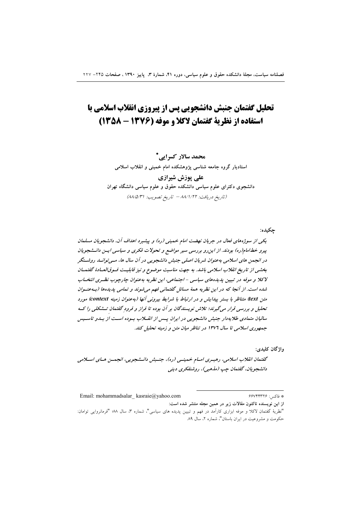# تحلیل گفتمان جنبش دانشجویی پس از پیروزی انقلاب اسلامی با استفاده از نظریة گفتمان لاکلا و موفه (۱۳۷۶ - ۱۳۵۸)

محمد سالار کسرایی \* استادیار گروه جامعه شناسی پژوهشکده امام خمینی و انقلاب اسلامی علی یوزش شیرازی

دانشجوی دکترای علوم سیاسی دانشکده حقوق و علوم سیاسی دانشگاه تهران (تاريخ دريافت: ٨٨/١/٢٢ - تاريخ تصويب: ٨٨/٥/٣١)

یکی از سوژه های فعال در جریان نهضت امام خمینی (ره) و پیشبرد اهداف آن، دانشجویان مسلمان پیرو خطامام(ره) بودند. از این رو بررسی سیر مواضع و تحولات فکری و سیاسی ایس دانـشجویان در انجمن های اسلامی به عنوان شریان اصلی جنبش دانشجویی در آن سال ها، مسی توانسد روشتگر بخشبی از تاریخ انقلاب اسلامی باشد. به جهت مناسبت موضوع و نیز قابلیت فسوق العبادهٔ گفتهبان لاکلا و موفه در تبيين پديدههاى سياسى - اجتماعى، اين نظريه به عنوان چارچوب نظـرى انتخـاب شده است. از آنجا که در این نظریه همهٔ مسائل گفتمانی فهم می شوند و تمامی یدیدها (به عنوان متن text) متناظر با بستر پیدایش و در ارتباط با شرایط بیرونی آنها (به عنوان زمینه context) مورد تحلیل و بررسی قرار میگیرند؛ تلاش نویسندگان بر آن بوده تا فراز و فرود گفتمان تـشکلی را کـه سالیان متمادی طلایه دار جنبش دانشجویی در ایران پس از انقلاب بوده است از بیدو تاسیس جمهوری اسلامی تا سال ۱۳۷۶ در تناظر میان متن و زمینه تحلیل کند.

واژگان کليدي:

حكىدە:

گفتمان انقلاب اسلامی، رهبـری امـام خمینـی (ره)، جنـبش دانـشجویی، انجمـن هـای اسـلامی دانشجويان، گفتمان چپ (مذهبي)، روشنفكري ديني

\* فاكبر : ۶۶۷۴۴۳۲۶ Email: mohammadsalar kasraie@yahoo.com از این نویسنده تاکنون مقالات زیر در همین مجله منتشر شده است:

<sup>&</sup>quot;نظرية گفتمان لاكلا و موفه ابزاري كارآمد در فهم و تبيين پديده هاي سياسي"، شماره ٣، سال ٧٨؛ "فرمانروايي توامان: حکومت و مشروعیت در ایران باستان"، شماره ۲، سال ۸۹.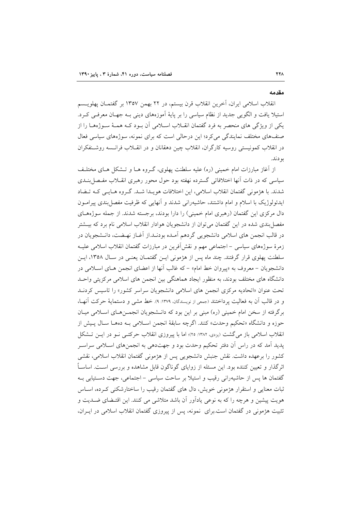#### مقدمه

انقلاب اسلامی ایران، آخرین انقلاب قرن بیستم، در ۲۲ بهمن ۱۳۵۷ بر گفتمــان یهلویــسم استیلا یافت و الگویی جدید از نظام سیاسی را بر پایهٔ اَموزههای دینی بـه جهـان معرفـی کـرد. یکی از ویژگی های منحصر به فرد گفتمان انقـلاب اسـلامی آن بـود کـه همـهٔ سـوژههـا را از صنفهای مختلف نمایندگی می کرد؛ این درحالی است که برای نمونه، سوژههای سیاسی فعال در انقلاب کمونیستی روسیه کارگران، انقلاب چین دهقانان و در انقــلاب فرانــسه روشــنفکران بو دند.

از آغاز مبارزات امام خمینی (ره) علیه سلطنت پهلوی، گـروه هــا و تــشکل هــای مختلــف سیاسی که در ذات آنها اختلافاتی گسترده نهفته بود حول محور رهبری انقــلاب مفــصا بنــدی شدند. با هژمونی گفتمان انقلاب اسلامی، این اختلافات هویـدا شـد. گـروه هـایـی کـه تــضاد ايدئولوژيک با اسلام و امام داشتند، حاشيهراني شدند و آنهايي که ظرفيت مفصل بندي پيرامـون دال مرکزی این گفتمان (رهبری امام خمینی) را دارا بودند، برجسته شدند. از جمله سوژههـای مفصل بندی شده در این گفتمان می توان از دانشجویان هوادار انقلاب اسلامی نام برد که بیـشتر در قالب انجمن هاي اسلامي دانشجويي گردهم آمـده بودنـد.از آغـاز نهـضت، دانـشجويان در زمرهٔ سوژههای سیاسی – اجتماعی مهم و نقش اَفرین در مبارزات گفتمان انقلاب اسلامی علیـه سلطنت یهلوی قرار گرفتند. چند ماه پس از هژمونی ایـن گفتمـان یعنـی در سـال ۱۳۵۸، ایـن دانشجویان – معروف به «پیروان خط امام» – که غالب آنها از اعضای انجمن هـای اسـلامی در دانشگاه های مختلف بودند، به منظور ایجاد هماهنگی بین انجمن های اسلامی مرکزیتی واحـد تحت عنوان «اتحادیه مرکزی انجمن های اسلامی دانشجویان سراسر کشور» را تاسیس کردنـد و در قالب آن به فعالیت پرداختند (جمعی از نویسندگان، ۱۳۷۹: ۹). خط مشی و دستمایهٔ حرکت آنها، برگرفته از سخن امام خمینی (ره) مبنی بر این بود که دانـشجویان انجمـنهـای اسـلامی میـان حوزه و دانشگاه «تحکیم وحدت» کنند. اگرچه سابقهٔ انجمن اسلامی بـه دههـا سـال پـیش از انقلاب اسلامی باز میگشت (بردی، ۱۳۸۲: ۲۵)؛ اما با پیروزی انقلاب حرکتبی نـو در ایــن تــشکل يديد آمد كه در راس آن دفتر تحكيم وحدت بود و جهتدهي به انجمنهاي اسـلامي سراسـر كشور را برعهده داشت. نقش جنبش دانشجويي پس از هژمونی گفتمان انقلاب اسلامی، نقشی اثرگذار و تعیین کننده بود. این مسئله از زوایای گوناگون قابل مشاهده و بررسی اسـت. اساســاً گفتمان ها پس از حاشیهرانی رقیب و استیلا بر ساحت سیاسی – اجتماعی، جهت دستیابی بـه ثبات معنایی و استقرار هژمونی خویش، دال های گفتمان رقیب را ساختارشکنی کـرده، اســاس هویت پیشین و هرچه را که به نوعی یادآور آن باشد متلاشی می کنند. این اقتـضای ضــدیت و تثبیت هژمونی در گفتمان است.برای نمونه، پس از پیروزی گفتمان انقلاب اسلامی در ایـران.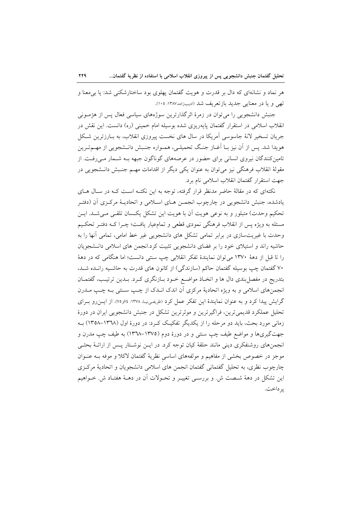هر نماد و نشانهای که دال بر قدرت و هویت گفتمان پهلوی بود ساختارشکنی شد: یا بی معنا و تھی و یا در معنایی جدید بازتعریف شد (ادیبزاده،۱۳۸۷: ۱۰۵).

جنبش دانشجویی را می توان در زمرهٔ اثرگذارترین سوژههای سیاسی فعال پس از هژمـونی انقلاب اسلامی در استقرار گفتمان پایهریزی شده بوسیله امام خمینی (ره) دانست. این نقش در جريان تسخير لانهٔ جاسوسي آمريکا در سال هاي نخست پيړوزي انقلاب، به بــارزترين شــکل هويدا شد. يس از أن نيز بـا أغــاز جنـگ تحميلـي، همــواره جنـبش دانـشجويي از مهــمتـرين تامین کنندگان نیروی انسانی برای حضور در عرصههای گوناگون جبهه بـه شـمار مـیرفـت. از مقولهٔ انقلاب فرهنگی نیز می توان به عنوان یکی دیگر از اقدامات مهــم جنـبش دانــشجویی در جهت استقرار گفتمان انقلاب اسلامی نام برد.

نکتهای که در مقالهٔ حاضر مدنظر قرار گرفته، توجه به این نکتـه اسـت کـه در سـال هـای یادشده، جنبش دانشجویی در چارچوب انجمــن هــای اســلامی و اتحادیــهٔ مرکـزی اَن (دفتـر تحکیم وحدت) متبلور و به نوعی هویت آن با هویت این تشکل یکسان تلقبی میشد. ایـن مسئله به ویژه پس از انقلاب فرهنگی نمودی قطعی و تمامعیار یافت؛ چـرا کـه دفتـر تحکـیم وحدت با غیریتسازی در برابر تمامی تشکل های دانشجویی غیر خط امامی، تمامی آنها را به حاشیه راند و استیلای خود را بر فضای دانشجویی تثبیت کرد.انجمن های اسلامی دانـشجویان را تا قبل از دههٔ ۱۳۷۰ می توان نمایندهٔ تفکر انقلابی چپ سنتی دانست؛ اما هنگامی که در دههٔ ۷۰ گفتمان چپ بوسیله گفتمان حاکم (سازندگی) از کانون های قدرت به حاشـیه رانـده شـد، بتدریج در مفصل بندی دال ها و اتخـاذ مواضـع خـود بـازنگری کـرد. بــدین ترتیـب، گفتمــان انجمنهای اسلامی و به ویژه اتحادیهٔ مرکزی آن اندک انـدک از چـب سـنتی بـه چـب مـدرن گرایش پیدا کرد و به عنوان نمایندهٔ این تفکر عمل کرد (ظریفهاییا، ۱۳۷۸: ۷۶و۷۷). از ایسزرو بـرای تحلیل عملکرد قدیمیترین، فراگیرترین و موثرترین تشکل در جنبش دانشجویی ایران در دورهٔ زمانی مورد بحث، باید دو مرحله را از یکدیگر تفکیک کـرد: در دورهٔ اول (١٣٦٨–١٣٥٨) بـه جهتگیریها و مواضع طیف چپ سنتی و در دورهٔ دوم (۱۳۷۵–۱۳۳۸) به طیف چپ مدرن و انجمنهای روشنفکری دینی مانند حلقهٔ کیان توجه کرد. در ایــن نوشـتار پـس از ارائــهٔ بحثــی موجز در خصوص بخشي از مفاهيم و مولفههاي اساسي نظريهٔ گفتمان لاکلا و موفه بــه عنــوان چارچوب نظري، به تحليل گفتماني گفتمان انجمن هاي اسلامي دانشجويان و اتحاديۀ مركزي این تشکل در دههٔ شـصت ش. و بررسـی تغییـر و تحـولات آن در دهــهٔ هفتـاد ش. خــواهیم ير داخت.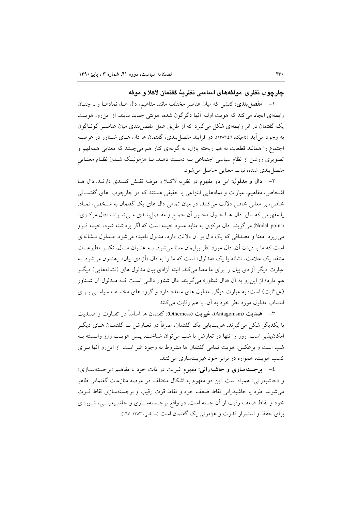چارچوب نظري: مولفههاي اساسي نظريهٔ گفتمان لاكلا و موفه

۱– مفصل بندی: کنشی که میان عناصر مختلف مانند مفاهیم، دال هـا، نمادهـا و… چنــان رابطهای ایجاد می کند که هویت اولیه آنها دگرگون شده، هویتی جدید بیابند. از این رو، هویت یک گفتمان در اثر رابطهای شکل میگیرد که از طریق عمل مفصل بندی میان عناصـر گونـاگون به وجود می آید (تاجیک، ١٣٨٣:٤٦). در فرایند مفصل بندی، گفتمان ها دال هـای شـناور در عرصـه اجتماع را همانند قطعات به هم ریخته پازل، به گونهای کنار هم میچینند که معنایی همهفهم و تصویری روشن از نظام سیاسی اجتماعی بـه دسـت دهـد. بـا هژمونیـک شـدن نظـام معنـایی مفصل بندي شده، ثبات معنايي حاصل مي شود.

٢- دال و مدلول: این دو مفهوم در نظریه لاکلا و موف نقش کلیـدی دارنـد. دال هـا اشخاص، مفاهیم، عبارات و نمادهایی انتزاعی یا حقیقی هستند که در چارچوب های گفتمـانی خاص، بر معانی خاص دلالت میکنند. در میان تمامی دال های یک گفتمان به شـخص، نمـاد، يا مفهومي كه ساير دال هـا حـول محـور أن جمـع و مفـصل بنـدي مـي شـوند، «دال مركـزي» (Nodal point) می گویند. دال مرکزی به مثابه عمود خیمه است که اگر برداشته شود، خیمه فـرو می ریزد. معنا و مصداقی که یک دال بر آن دلالت دارد، مدلول نامیده می شود. مـدلول نــشانهای است که ما با دیدن آن، دال مورد نظر برایمان معنا میشود. بـه عنـوان مثـال، تکثـر مطبوعـات منتقد یک علامت، نشانه یا یک «مدلول» است که ما را به دال «آزادی بیان» رهنمون می شود. به عبارت دیگر آزادی بیان را برای ما معنا میکند. البته آزادی بیان مدلول های (نشانههایی) دیگ هم دارد؛ از این رو به آن «دال شناور» میگویند. دال شناور دال<sub>عی</sub> است کـه مـدلول آن شـناور (غیرثابت) است؛ به عبارت دیگر، مدلول های متعدد دارد و گروه های مختلـف سیاسـی بـرای انتساب مدلول مورد نظر خود به آن، با هم رقابت میکنند.

۳– ضدیت (Antagonism)، غیریت (Otherness): گفتمان ها اساساً در تفـاوت و ضــدیت با يكديگر شكل مىگيرند. هويتLيابى يک گفتمان، صرفاً در تعــارض بــا گفتمــان هــاى ديگــر امکانپذیر است. روز را تنها در تعارض با شب میتوان شناخت. پس هویـت روز وابـسته بـه شب است و برعکس. هویت تمامی گفتمان ها مشروط به وجود غیر است. از این٫رو أنها بــرای کسب هويت، همواره در برابر خود غيريتسازي مي کنند.

٤– ب**رجستهسازی و حاشیهرانی**: مفهوم غیریت در ذات خود با مفاهیم «برجستهسـازی» و «حاشیهرانی» همراه است. این دو مفهوم به اشکال مختلف در عرصه منازعات گفتمانی ظاهر می شوند. طرد یا حاشیهرانی نقاط ضعف خود و نقاط قوت رقیب و برجستهسازی نقاط قــوت خود و نقاط ضعف رقیب از آن جمله است. در واقع برجستهسـازی و حاشـیهرانـی، شـیوهای برای حفظ و استمرار قدرت و هژمونی یک گفتمان است (سلطانی، ۱۳۸۳: ۱۲۷).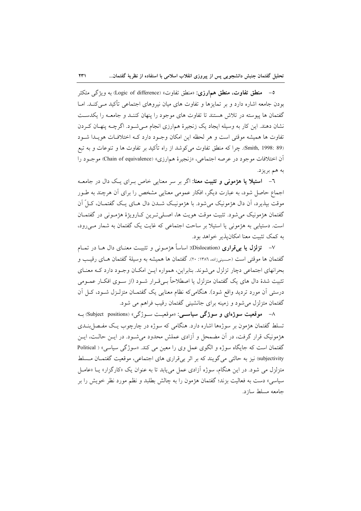0– منطق تفاوت، منطق همارزي: «منطق تفاوت» (Logic of difference) به ويژگي متكثر بودن جامعه اشاره دارد و بر تمایزها و تفاوت های میان نیروهای اجتماعی تأکید مـی کنــد. امــا گفتمان ها پیوسته در تلاش هستند تا تفاوت های موجود را پنهان کننـد و جامعـه را یکدسـت نشان دهند. این کار به وسیله ایجاد یک زنجیرهٔ همارزی انجام مـیشـود. اگرچـه پنهـان کـردن تفاوت ها همیشه موقتی است و هر لحظه این امکان وجـود دارد کـه اختلافـات هویـدا شـود (Smith, 1998: 89). چرا كه منطق تفاوت مي كوشد از راه تأكيد بر تفاوت ها و تنوعات و به تبع آن اختلافات موجود در عرصه اجتماعي، «زنجيرهٔ همارزي» (Chain of equivalence) موجبود را به هم بريز د.

٦- ا**ستيلا يا هژموني و تثبيت معنا**: اگر بر سر معنايي خاص بـراي يـک دال در جامعــه اجماع حاصل شود، به عبارت دیگر، افکار عمومی معنایی مشخص را برای آن هرچند به طـور موقت بيذيرد، اَن دال هؤمونيک مي شود. با هؤمونيـک شــدن دال هــاي يــک گفتمــان، کــلّ اَن گفتمان هژمونيک مي شود. تثبيت موقت هويت ها، اصـلي تـرين کـارويژهٔ هژمـوني در گفتمـان است. دستیابی به هژمونی یا استیلا بر ساحت اجتماعی که غایت یک گفتمان به شمار مے رود، به کمک تثبیت معنا امکان پذیر خواهد بود.

۷– ت**زلزل یا برتقراری** (Dislocation): اساساً هژمـونی و تثبیـت معنـای دال هــا در تمــام گفتمان ها موقتی است (حسینی;اده، ۱۳۸٦: ۲۰). گفتمان ها همیشه به وسیلهٔ گفتمان هـای رقیـب و بحرانهای اجتماعی دچار تزلزل می شوند. بنابراین، همواره ایـن امکـان وجـود دارد کـه معنـای تثبیت شدهٔ دال های یک گفتمان متزلزل یا اصطلاحاً بـیقـرار شـود (از سـوی افکـار عمـومی درستی آن مورد تردید واقع شود). هنگامیکه نظام معنایی یک گفتمـان متزلـزل شـود، کـل آن گفتمان متزلزل میشود و زمینه برای جانشینی گفتمان رقیب فراهم می شود.

۸– موقعیت سوژهای و سوژگی سیاســی: «موقعیـت سـوژگی» (Subject positions) بــه تسلط گفتمان هژمون بر سوژهها اشاره دارد. هنگامی که سوژه در چارچوب یـک مفـصا بنــدی هژمونیک قرار گرفت، در آن مضمحل و آزادی عملش محدود میشـود. در ایــن حالــت، ایــن گفتمان است که جایگاه سوژه و الگوی عمل وی را معین می کند. «سوژگی سیاسی» ( Political subjectivity) نیز به حالتی می گویند که بر اثر بی قراری های اجتماعی، موقعیت گفتمان مسلط متزلزل می شود. در این هنگام، سوژه آزادی عمل می یابد تا به عنوان یک «کارگزار» یــا «عامــل سیاسی» دست به فعالیت بزند؛ گفتمان هژمون را به چالش بطلبد و نظم مورد نظر خویش را بر جامعه مسلط سازد.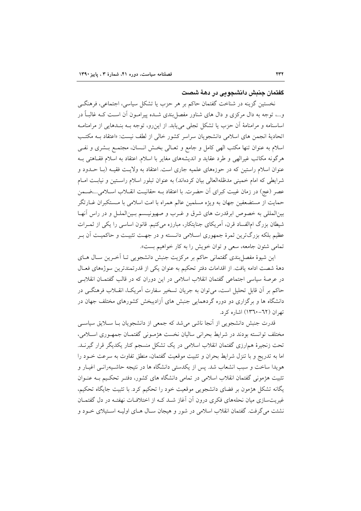### گفتمان جنیش دانشجویی در دههٔ شصت

نخستین گزینه در شناخت گفتمان حاکم بر هر حزب یا تشکل سیاسی، اجتماعی، فرهنگی و…، توجه به دال مرکزی و دال های شناور مفصل!ندی شــده پیرامــون اَن اســت کــه غالبــاً در اساسنامه و مرامنامهٔ آن حزب یا تشکل تجلّی مییابد. از این رو، توجه بـه بنـدهایی از مرامنامـه اتحادیهٔ انجمن های اسلامی دانشجویان سراسر کشور خالی از لطف نیست: «اعتقاد بــه مکتــب اسلام به عنوان تنها مكتب الهي كامل و جامع و تعـالي بخـش انـسان، مجتمـع بـشرى و نفـي هرگونه مکاتب غیرالهی و طرد عقاید و اندیشههای مغایر با اسلام. اعتقاد به اسلام فقـاهتی بـه عنوان اسلام راستین که در حوزههای علمیه جاری است. اعتقاد به ولایت فقیـه (بـا حــدود و شرایطی که امام خمینی مدظلهالعالی بیان کردهاند) به عنوان تبلور اسلام راستین و نیابت امـام عصر (عج) در زمان غیبت کبرای آن حضرت. با اعتقاد بـه حقانیـت انقـلاب اسـلامی…،ضـمن حمایت از مستضعفین جهان به ویژه مسلمین عالم همراه با امت اسلامی با مـستکبران غــارتگر بینالمللی به خصوص ابرقدرت های شرق و غـرب و صهیونیـسم بـین|لملـل و در راس آنهـا شیطان بزرگ امالفساد قرن، آمریکای جنایتکار، مبارزه میکنیم. قانون اساسی را یکی از ثمـرات عظیم بلکه بزرگترین ثمرهٔ جمهوری اسـلامی دانـسته و در جهـت تثبیـت و حاکمیـت آن بـر تمامي شئون جامعه، سعي و توان خويش را به كار خواهيم بست».

این شیوهٔ مفصل بندی گفتمانی حاکم بر مرکزیت جنبش دانشجویی تـا آخـرین سـال هـای دههٔ شصت ادامه یافت. از اقدامات دفتر تحکیم به عنوان یکی از قدرتمندترین سوژههای فعـال در عرصهٔ سیاسی اجتماعی گفتمان انقلاب اسلامی در این دوران که در قالب گفتمـان انقلابـی حاکم بر آن قابل تحلیل است، می توان به جریان تسخیر سفارت آمریک)، انقــلاب فرهنگــی در دانشگاه ها و برگزاری دو دوره گردهمایی جنبش های آزادیبخش کشورهای مختلف جهان در تهران (٦٢-١٣٦٠) اشاره كرد.

قدرت جنبش دانشجویی از آنجا ناشی می شد که جمعی از دانشجویان بـا سـلایق سیاسـی مختلف توانسته بودند در شرايط بحراني ساليان نخست هژموني گفتمان جمهوري اسلامي، تحت زنجیرهٔ همارزی گفتمان انقلاب اسلامی در یک تشکل منسجم کنار یکدیگر قرار گیرنــد. اما به تدریج و با تنزل شرایط بحران و تثبیت موقعیت گفتمان، منطق تفاوت به سرعت خـود را هویدا ساخت و سبب انشعاب شد. پس از یکدستی دانشگاه ها در نتیجه حاشـیهرانـی اغیـار و تثبیت هژمونی گفتمان انقلاب اسلامی در تمامی دانشگاه های کشور، دفتـر تحکـیم بـه عنـوان یگانه تشکل هژمون بر فضای دانشجویی موقعیت خود را تحکیم کرد. با تثبیت جایگاه تحکیم، غیریتسازی میان نحلههای فکری درون آن آغاز شـد کـه از اختلافـات نهفتـه در دل گفتمـان نشئت مي گرفت. گفتمان انقلاب اسلامي در شور و هيجان سـال هــاي اوليــه اســتيلاي خــود و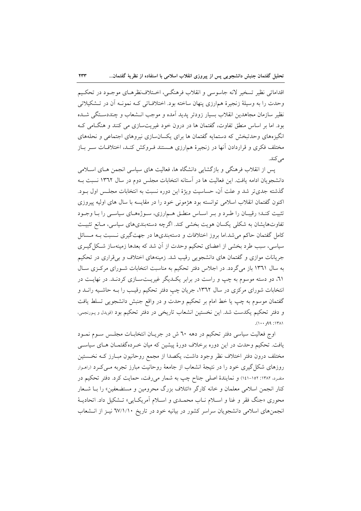اقداماتي نظير تسخير لانه جاسوسي و انقلاب فرهنگـي، اخـتلاف نظرهـاي موجـود در تحكـيم وحدت را به وسیلهٔ زنجیرهٔ همارزی پنهان ساخته بود. اختلافـاتی کـه نمونـه آن در تـشکیلاتی نظير سازمان مجاهدين انقلاب بسيار زودتر يديد آمده و موجب انــشعاب و چنددســتگي شــده بود. اما بر اساس منطق تفاوت، گفتمان ها در درون خود غیریتسازی می کنند و هنگامی ک انگیزههای وحدتبخش که دستمایه گفتمان ها برای یکسانسازی نیروهای اجتماعی و نحلههای مختلف فكرى و قراردادن آنها در زنجيرهٔ هم|رزى هـستند فـروكش كنـد، اختلافـات سـر بـاز مے کند.

یس از انقلاب فرهنگی و بازگشایی دانشگاه ها، فعالیت های سیاسی انجمن هـای اسـلامی دانشجویان ادامه یافت. این فعالیت ها در آستانه انتخابات مجلس دوم در سال ۱۳٦۲ نسبت بـه گذشته جدیتر شد و علت آن، حساسیت ویژهٔ این دوره نسبت به انتخابات مجلـس اول بــود. اکنون گفتمان انقلاب اسلامی توانسته بود هژمونی خود را در مقایسه با سال های اولیه پیروزی تثبیت کنـد؛ رقیبـان را طـرد و بـر اسـاس منطـق هـم|رزی، سـوژههـای سیاسـی را بـا وجـود تفاوتهایشان به شکلی یکسان هویت بخشی کند. اگرچه دستهبندیهای سیاسی، مـانع تثبیـت کامل گفتمان حاکم میشد.اما بروز اختلافات و دستهبندیها در جهتگیری نـسبت بـه مـسائل سیاسی، سبب طرد بخشی از اعضای تحکیم وحدت از آن شد که بعدها زمینهساز شکل گیـری جریانات موازی و گفتمان های دانشجویی رقیب شد. زمینههای اختلاف و بی قراری در تحکیم به سال ۱۳٦۱ باز میگردد. در اجلاس دفتر تحکیم به مناسبت انتخابات شـورای مرکزی سـال ٦١، دو دسته موسوم به چپ و راست در برابر یک دیگر غیریـتسـازی کردنـد. در نهایـت در انتخابات شورای مرکزی در سال ۱۳٦۲، جریان چپ دفتر تحکیم رقیب را بـه حاشـیه رانــد و گفتمان موسوم به چپ یا خط امام بر تحکیم وحدت و در واقع جنبش دانشجویی تسلط یافت و دفتر تحکیم یکدست شد. این نخستین انشعاب تاریخی در دفتر تحکیم بود (قویدل و پـورنجمی،  $(1 + P_{P_{1}} \cdot P_{P_{2}} \cdot P_{P_{3}}))$ 

اوج فعالیت سیاسی دفتر تحکیم در دهه ٦٠ ش در جریـان انتخابـات مجلـس سـوم نمـود یافت. تحکیم وحدت در این دوره برخلاف دورهٔ پیشین که میان خـردهگفتمـان هـای سیاسـی مختلف درون دفتر اختلاف نظر وجود داشت، يكصدا از مجمع روحانيون مبـارز كـه نخـستين روزهای شکل گیری خود را در نتیجهٔ انشعاب از جامعهٔ روحانیت مبارز تجربه مـی کـرد (رامـوار منفرد، ۱۳۸۲: ۱۰۵-۱٤۱) و نمایندهٔ اصلی جناح چپ به شمار میرفت، حمایت کرد. دفتر تحکیم در کنار انجمن اسلامی معلمان و خانه کارگر «ائتلاف بزرگ محرومین و مستضعفین» را بــا شــعار محوري «جنگ فقر و غنا و اسـلام نــاب محمــدي و اسـلام اَمريكــايـي» تــشكيل داد. اتحاديــهٔ انجمنهای اسلامی دانشجویان سراسر کشور در بیانیه خود در تاریخ ٦٧/١/١٠ نیـز از انـشعاب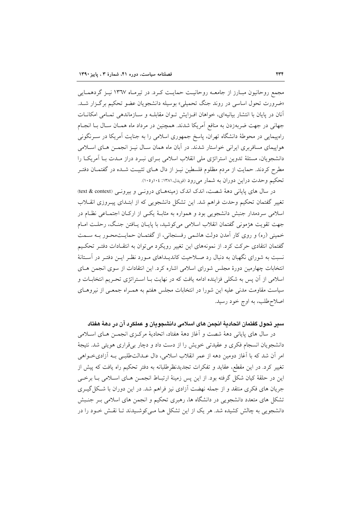مجمع روحانیون مبـارز از جامعـه روحانیـت حمایـت کـرد. در تیرمـاه ١٣٦٧ نیـز گردهمـایی «ضرورت تحول اساسی در روند جنگ تحمیلی» بوسیله دانشجویان عضو تحکیم برگزار شـد. آنان در پایان با انتشار بیانیهای، خواهان افزایش تـوان مقابلـه و سـازماندهی تمـامی امکانـات جهانی در جهت ضربهزدن به منافع آمریکا شدند. همچنین در مرداد ماه همـان سـال بـا انجـام راهپیمایی در محوطهٔ دانشگاه تهران، پاسخ جمهوری اسلامی را به جنایت آمریکا در سـرنگونی هواپیمای مسافربری ایرانی خواستار شدند. در آبان ماه همان سـال نیـز انجمـن هـای اسـلامی دانشجویان، مسئلهٔ تدوین استراتژی ملی انقلاب اسلامی بـرای نبـرد دراز مـدت بـا آمریکـا را مطرح کردند. حمایت از مردم مظلوم فلسطین نیـز از دال هـای تثبیـت شـده در گفتمـان دفتـر تحکیم وحدت دراین دوران به شمار میرود (قویدل،۱۳۸۱: ۱۰٤و۱۰۵).

در سال های پایانی دههٔ شصت، اندک اندک زمینههای درونی و بیرونی (text & context) تغییر گفتمان تحکیم وحدت فراهم شد. این تشکل دانشجویی که از ابتـدای پیـروزی انقــلاب اسلامی سردمدار جنبش دانشجویی بود و همواره به مثابـهٔ یکـی از ارکـان اجتمـاعی نظـام در جهت تقويت هژموني گفتمان انقلاب اسلامي مي كوشيد، با پايان يـافتن جنگ، رحلت امـام خمینی (ره) و روی کار آمدن دولت هاشمی رفسنجانی، از گفتمـان حمایـتمحـور بـه سـمت گفتمان انتقادی حرکت کرد. از نمونههای این تغییر رویکرد می توان به انتقادات دفتـر تحکـیم نسبت به شورای نگهبان به دنبال رد صـلاحیت کاندیــداهای مــورد نظـر ایــن دفتــر در آســتانهٔ انتخابات چهارمین دورهٔ مجلس شورای اسلامی اشاره کرد. این انتقادات از سوی انجمن های اسلامی از آن پس به شکلی فزاینده ادامه یافت که در نهایت بـا اسـتراتژی تحـریم انتخابــات و سیاست مقاومت مدنی علیه این شورا در انتخابات مجلس هفتم به همـراه جمعـی از نیروهـای اصلاح طلب، به اوج خود رسید.

## سبر تحول كفتمان اتحاديهٔ انجمن های اسلامی دانشجویان و عملکرد آن در دههٔ هفتاد

در سال های پایانی دههٔ شصت و آغاز دههٔ هفتاد، اتحادیهٔ مرکـزی انجمـن هـای اسـلامی دانشجویان انسجام فکری و عقیدتی خویش را از دست داد و دچار بیقراری هویتی شد. نتیجهٔ امر أن شد كه با أغاز دومين دهه از عمر انقلاب اسلامي، دال عــدالت<code>طلب</code>ي بــه أزاديخــواهي تغییر کرد. در این مقطع، عقاید و تفکرات تجدیدنظرطلبانه به دفتر تحکیم راه یافت که پیش از این در حلقهٔ کیان شکل گرفته بود. از این پس زمینهٔ ارتبـاط انجمــن هــای اســلامی بــا برخــی جریان های فکری منتقد و از جمله نهضت آزادی نیز فراهم شد. در این دوران با شکل گیــری تشکل های متعدد دانشجویی در دانشگاه ها، رهبری تحکیم و انجمن های اسلامی بـر جنـبش دانشجویی به چالش کشیده شد. هر یک از این تشکل هـا مـیکوشـیدند تـا نقـش خـود را در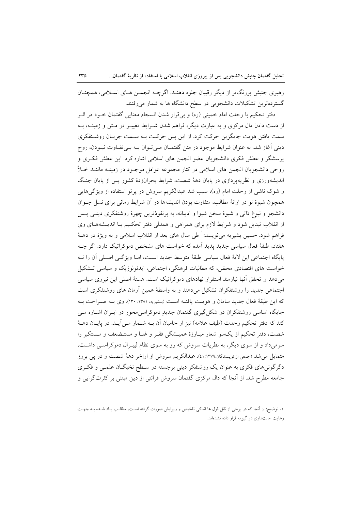رهبري جنبش پررنگ تر از ديگر رقيبان جلوه دهنـد. اگرچــه انجمــن هــاي اســلامي، همچنــان گستردهترین تشکیلات دانشجویی در سطح دانشگاه ها به شمار میرفتند.

دفتر تحکیم با رحلت امام خمینی (ره) و بیقرار شدن انسجام معنایی گفتمان خــود در اثــر از دست دادن دال مرکزی و به عبارت دیگر، فراهم شدن شـرایط تغییـر در مـتن و زمینــه، بــه سمت یافتن هویت جایگزین حرکت کرد. از این پس حرکت بـه سـمت جریـان روشـنفکري دینی آغاز شد. به عنوان شرایط موجود در متن گفتمـان مـیتوان بـه بـیتفـاوت نبـودن، روح پرسشگر و عطش فکری دانشجویان عضو انجمن های اسلامی اشاره کرد. این عطش فکری و روحی دانشجویان انجمن های اسلامی در کنار مجموعه عوامل موجـود در زمینـه ماننــد خــلأ اندیشهورزی و نظریهپردازی در پایان دههٔ شصت، شرایط بحرانزدهٔ کشور پس از پایان جنگ و شوک ناشی از رحلت امام (ره)، سبب شد عبدالکریم سروش در پرتو استفاده از ویژگیهایی همچون شیوهٔ نو در ارائهٔ مطالب، متفاوت بودن اندیشهها در آن شرایط زمانی برای نسل جــوان دانشجو و نبوغ ذاتی و شیوهٔ سخن شیوا و ادیبانه، به پرنفوذترین چهرهٔ روشنفکری دینــی پــس از انقلاب تبدیل شود و شرایط لازم برای همراهی و همدلی دفتر تحکیم بـا اندیـشههـای وی فراهم شود. حسین بشیریه می نویسد: ٔ طی سال های بعد از انقلاب اسلامی و به ویژهٔ در دهــهٔ هفتاد، طبقهٔ فعال سیاسی جدید پدید اَمده که خواست های مشخص دموکراتیک دارد. اگر چــه پایگاه اجتماعی این لایهٔ فعال سیاسی طبقهٔ متوسط جدید است، امـا ویژگـی اصـلی آن را نــه خواست های اقتصادی محض، که مطالبات فرهنگی، اجتماعی، ایدئولوژیک و سیاسی تـشکیل می،دهد و تحقق أنها نیازمند استقرار نهادهای دموکراتیک است. هستهٔ اصلی این نیروی سیاسی اجتماعی جدید را روشنفکران تشکیل میدهند و به واسطهٔ همین آرمان های روشنفکری است كه اين طبقهٔ فعال جديد سامان و هويت يافتـه اسـت (بـشيريه، ١٣٨١، ١٣٠). وي بـه صـراحت بـه جایگاه اساسی روشنفکران در شکل گیری گفتمان جدیدِ دموکراسی محور در ایـران اشـاره مـی كند كه دفتر تحكيم وحدت (طيف علامه) نيز از حاميان آن بـه شــمار مــي]يــد. در پايــان دهــهٔ شصت، دفتر تحکیم از یکسو شعار مبـارزهٔ همیـشگی فقـر و غنـا و مستـضعف و مـستکبر را سرمیداد و از سوی دیگر، به نظریات سروش که رو به سوی نظام لیبـرال دموکراسـی داشـت، متمایل می شد (جمعی از نویسندگان،٤١:١٣٧٩). عبدالکریم سروش از اواخر دههٔ شصت و در یی بروز دگر گونی های فکری به عنوان یک روشنفکر دینی برجسته در سـطح نخبگــان علمــی و فکــری جامعه مطرح شد. از آنجا که دال مرکزی گفتمان سروش قرائتی از دین مبتنی بر کثرتگرایی و

١. توضيح: از آنجا كه در برخي از نقل قول ها اندكي تلخيص و ويرايش صورت گرفته است، مطالب يـاد شـده بــه جهـت رعایت امانتداری در گیومه قرار داده نشدهاند.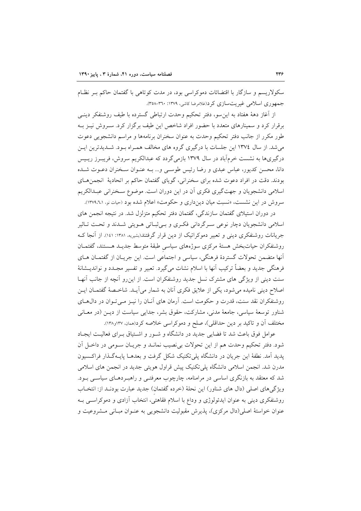سکولاریسم و سازگار با اقتضائات دموکراسی بود، در مدت کوتاهی با گفتمان حاکم بـر نظـام جمهوري اسلامي غيريت سازي كرد(غلامرضا كاشي، ١٣٧٩: ٣٦٠-٣٥٨).

از آغاز دههٔ هفتاد به این سو، دفتر تحکیم وحدت ارتباطی گسترده با طیف روشنفکر دینـی برقرار کرد و سمینارهای متعدد با حضور افراد شاخص این طیف برگزار کرد. سـروش نیـز بـه طور مکرر از جانب دفتر تحکیم وحدت به عنوان سخنران برنامهها و مراسم دانشجویی دعوت می شد. از سال ۱۳۷٤ این جلسات با درگیری گروه های مخالف همـراه بـود. شـدیدترین ایـن درگیریها به نشست خرمآباد در سال ۱۳۷۹ بازمیگردد که عبدالکریم سروش، فریبـرز ریـیس دانا، محسن کدیور، عباس عبدی و رضا رئیس طوسی و... بـه عنـوان سـخنران دعـوت شـده بودند. دقت در افراد دعوت شده برای سخنرانی، گویای گفتمان حاکم بر اتحادیهٔ انجمنهای اسلامی دانشجویان و جهتگیری فکری آن در این دوران است. موضوع سـخنرانی عبـدالکریم سروش در این نشست، «نسبت میان دین داری و حکومت» اعلام شده بود (حیات نو، ۱۳۷۹،۲۰۱).

در دوران استیلای گفتمان سازندگی، گفتمان دفتر تحکیم متزلزل شد. در نتیجه انجمن های اسلامی دانشجویان دچار نوعی سرگردانی فکری و بےثباتی هـویتی شـدند و تحـت تـاثیر جریانات روشنفکری دینی و تعبیر دموکراتیک از دین قرار گرفتند(بشیریه، ۱۳۸۱: ۱٤۱). از آنجا ک روشنفكران حياتبخش هستهٔ مركزى سوژههاى سياسى طبقهٔ متوسط جديـد هـستند، گفتمـان أنها متضمن تحولات گستردهٔ فرهنگی، سیاسی و اجتماعی است. این جریـان از گفتمـان هـای فرهنگی جدید و بعضاً ترکیب آنها با اسلام نشات میگیرد. تعبیر و تفسیر مجـدد و نواندیــشانهٔ سنت دینی از ویژگی های مشترک نسل جدید روشنفکران است. از این رو آنچه از جانب آنهـا اصلاح دینی نامیده می شود، یکی از علایق فکری آنان به شمار می آیـد. شاخـصهٔ گفتمـان ایــن روشنفكران نقد سنت، قدرت و حكومت است. آرمان هاي آنان را نيـز مـيتوان در دال هـاي شناور توسعهٔ سیاسی، جامعهٔ مدنی، مشارکت، حقوق بشر، جدایی سیاست از دیــن (در معــانی مختلف آن و تاکید بر دین حداقلی)، صلح و دموکراسی خلاصه کرد(همان، ۱۳۷و۱۳۸).

عوامل فوق باعث شد تا فضایی جدید در دانشگاه و شـور و اشـتیاق بـرای فعالیـت ایجـاد شود. دفتر تحکیم وحدت هم از این تحولات بی نصیب نمانـد و جریـان سـومی در داخـل آن یدید آمد. نطفهٔ این جریان در دانشگاه یلی تکنیک شکل گرفت و بعدهـا پایـهگـذار فراکـسیون مدرن شد. انجمن اسلامی دانشگاه پلی تکنیک پیش قراول هویتی جدید در انجمن های اسلامی شد که معتقد به بازنگری اساسی در مرامنامه، چارچوب معرفتـی و راهبـردهـای سیاسـی بـود. ویژگی های اصلی (دال های شناور) این نحلهٔ (خرده گفتمان) جدید عبارت بودنـد از: انتخـاب روشنفکری دینی به عنوان ایدئولوژی و وداع با اسلام فقاهتی، انتخاب آزادی و دموکراسـی بــه عنوان خواستهٔ اصلی(دال مرکزی)، پذیرش مقبولیت دانشجویی به عنـوان مبـانی مـشروعیت و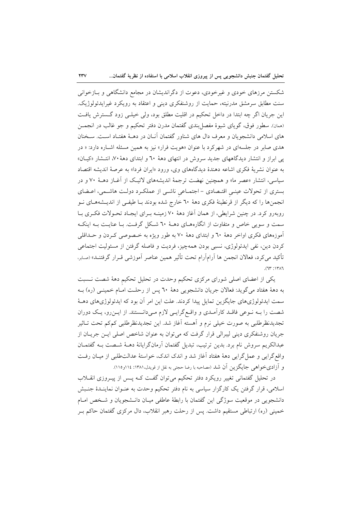شکستن مرزهای خودی و غیرخودی، دعوت از دگراندیشان در مجامع دانشگاهی و بـازخوانی سنت مطابق سرمشق مدرنیته، حمایت از روشنفکری دینی و اعتقاد به رویکرد غیرایدئولوژیک. این جریان اگر چه ابتدا در داخل تحکیم در اقلیت مطلق بود، ولی خیلـی زود گـسترش یافـت (همان). سطور فوق، گویای شیوهٔ مفصل بندی گفتمان مدرن دفتر تحکیم و جو غالب در انجمــن های اسلامی دانشجویان و معرف دال های شناور گفتمان آنـان در دهـهٔ هفتـاد اسـت. سـخنان هدی صابر در جلسهای در شهرکرد با عنوان «هویت فرار» نیز به همین مسئله اشـاره دارد: « در یی ابراز و انتشار دیدگاههای جدید سروش در انتهای دههٔ ٦٠ و ابتدای دههٔ ۷۰، انتشار «کیـان» به عنوان نشريهٔ فكرى اشاعه دهندهٔ ديدگاههاى وى، ورود «ايران فردا» به عرصهٔ انديشه اقتصاد سیاسی، انتشار «عصر ما» و همچنین نهضت ترجمهٔ اندیشههای لائیک از آغـاز دهــهٔ ۷۰ و در بستری از تحولات عینبی اقتـصادی - اجتمـاعی ناشـی از عملکـرد دولـت هاشـمی، اعـضای انجمنها را که دیگر از قرنطینهٔ فکری دههٔ ٦٠ خارج شده بودند بـا طیفـی از اندیـشههـای نـو روبهرو کرد. در چنین شرایطی، از همان آغاز دههٔ ۷۰ زمینـه بـرای ایجـاد تحـولات فکـری بـا سمت و سویی خاص و متفاوت از انگارههـای دهـهٔ ٦٠ شـكل گرفـت. بـا عنایـت بـه اینكـه آموزههای فکری اواخر دههٔ ٦٠ و ابتدای دههٔ ٧٠ به طور ویژه به خـصوصی کـردن و حـداقلی كردن دين، نفي ايدئولوژي، نسبي بودن همهچيز، فرديت و فاصله گرفتن از مسئوليت اجتماعي تأكيد مي كرد، فعالان انجمن ها آرامآرام تحت تأثير همين عناصر آموزشي قـرار گرفتنــد» (صـابر،  $(TY^*; Y^* \wedge T)$ 

یکی از اعضای اصلی شورای مرکزی تحکیم وحدت در تحلیل تحکیم دههٔ شصت نـسبت به دههٔ هفتاد میگوید: فعالان جریان دانشجویی دههٔ ٦٠ پس از رحلت امـام خمینـی (ره) بـه سمت ایدئولوژیهای جایگزین تمایل پیدا کردند. علت این امر آن بود که ایدئولوژیهای دهـهٔ شصت را بـه نـوعی فاقـد کارآمـدی و واقـع گرایـی لازم مـیدانـستند. از ایـنروه، یـک دوران تجديدنظرطلبي به صورت خيلي نرم و اَهسته اَغاز شد. اين تجديدنظرطلبي كمكم تحت تـاثير جریان روشنفکری دینی لیبرالی قرار گرفت که می توان به عنوان شاخص اصلی ایــن جریــان از عبدالكريم سروش نام برد. بدين ترتيب، تبديل گفتمان آرمانگرايانهٔ دهـهٔ شـصت بـه گفتمـان واقع گرایی و عمل گرایی دههٔ هفتاد آغاز شد و اندک اندک، خواستهٔ عدالتطلبی از میـان رفـت و آزادیخواهی جایگزین آن شد (مصاحبه با رضا حجتی به نقل از قویدل،۱۳۸۱: ۱۱۶و۱۱۵).

در تحلیل گفتمانی تغییر رویکرد دفتر تحکیم میتوان گفت کـه پـس از پیــروزی انقــلاب اسلامی، قرار گرفتن یک کارگزار سیاسی به نام دفتر تحکیم وحدت به عنـوان نماینـدهٔ جنـبش دانشجویی در موقعیت سوژگی این گفتمان با رابطهٔ عاطفی میـان دانـشجویان و شـخص امـام خمینی (ره) ارتباطی مستقیم داشت. پس از رحلت رهبر انقلاب، دال مرکزی گفتمان حاکم بـر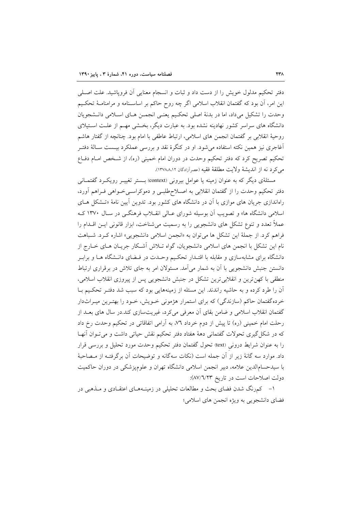دفتر تحکیم مدلول خویش را از دست داد و ثبات و انسجام معنایی آن فروپاشید. علت اصـلی این امر، آن بود که گفتمان انقلاب اسلامی اگر چه روح حاکم بر اساسـنامه و مرامنامـهٔ تحکـیم وحدت را تشكيل مىداد، اما در بدنهٔ اصلى تحكيم يعني انجمـن هـاي اسـلامى دانـشجويان دانشگاه های سراسر کشور نهادینه نشده بود. به عبارت دیگر، بخــشی مهــم از علــت اســتیلای روحيهٔ انقلابي بر گفتمان انجمن هاي اسلامي، ارتباط عاطفي با امام بود. چنانچه از گفتار هاشم آغاجری نیز همین نکته استفاده میشود. او در کنگرهٔ نقد و بررسی عملکرد بیـست سـالهٔ دفتـر تحکیم تصریح کرد که دفتر تحکیم وحدت در دوران امام خمینی (ره)، از شـخص امـام دفـاع مي كرد نه از انديشة ولايت مطلقة فقيه (عصرآزادگان ١٣٧٨٨،١٢).

مسئلهٔی دیگر که به عنوان زمینه یا عوامل بیرونی (context) بـستر تغییـر رویکـرد گفتمـانی دفتر تحکیم وحدت را از گفتمان انقلابی به اصـلاحطلبـی و دموکراسـی خــواهی فــراهم آورد، راهاندازی جریان های موازی با آن در دانشگاه های کشور بود. تدوین آیین نامهٔ «تـشکل هــای اسلامی دانشگاه ها» و تصویب آن بوسیله شورای عـالی انقـلاب فرهنگـی در سـال ۱۳۷۰ کـه عملاً تعدد و تنوع تشکل های دانشجویی را به رسمیت میشناخت، ابزار قانونی ایـن اقــدام را فراهم کرد. از جملهٔ این تشکل ها میتوان به «انجمن اسلامی دانشجویی» اشاره کـرد. شـباهت نام این تشکل با انجمن های اسلامی دانشجویان، گواه تـلاش آشـکار جریـان هـای خـارج از دانشگاه برای مشابهسازی و مقابله با اقتـدار تحکـیم وحـدت در فـضای دانـشگاه هــا و برابـر دانستن جنبش دانشجویی با آن به شمار میآمد. مسئولان امر به جای تلاش در برقراری ارتباط منطقی با کهن ترین و انقلابی ترین تشکل در جنبش دانشجویی پس از پیروزی انقلاب اسلامی، آن را طرد کرده و به حاشیه راندند. این مسئله از زمینههایی بود که سبب شد دفتـر تحکـیم بـا خردهگفتمان حاکم (سازندگی) که برای استمرار هژمونی خـویش، خـود را بهتـرین میـراثدار گفتمان انقلاب اسلامی و ضامن بقای آن معرفی می کرد، غیریتسازی کند.در سال های بعــد از رحلت امام خمینی (ره) تا پیش از دوم خرداد ٧٦، به آرامی اتفاقاتی در تحکیم وحدت رخ داد که در شکل گیری تحولات گفتمانی دههٔ هفتاد دفتر تحکیم نقش حیاتی داشت و میتوان آنها را به عنوان شرایط درونی (text) تحول گفتمان دفتر تحکیم وحدت مورد تحلیل و بررسی قرار داد. موارد سه گانهٔ زیر از آن جمله است (نکات سهگانه و توضیحات آن برگرفتـه از مـصاحبهٔ با سیدحسامالدین علامه، دبیر انجمن اسلامی دانشگاه تهران و علومپزشکی در دوران حاکمیت دولت اصلاحات است در تاريخ ٨٧/٦/٢٣):

۱– کمرنگ شدن فضای بحث و مطالعات تحلیلی در زمینـههـای اعتقـادی و مــذهبی در فضاي دانشجويي به ويژه انجمن هاي اسلامي؛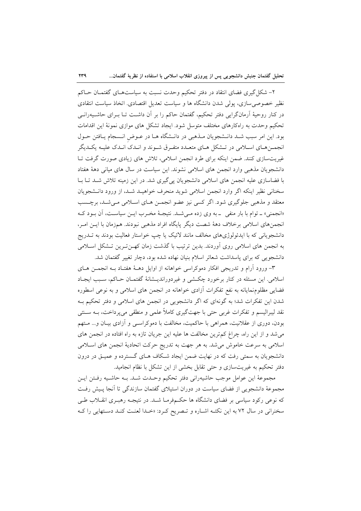۲- شکل گیری فضای انتقاد در دفتر تحکیم وحدت نسبت به سیاستهـای گفتمـان حـاکم نظیر خصوصی سازی، یولی شدن دانشگاه ها و سیاست تعدیل اقتصادی. اتخاذ سیاست انتقادی در کنار روحیهٔ آرمانگرایی دفتر تحکیم، گفتمان حاکم را بر آن داشت تـا بــرای حاشــیهرانــی تحکیم وحدت به راهکارهای مختلف متوسل شود. ایجاد تشکل های موازی نمونهٔ این اقدامات بود. این امر سبب شـد دانـشجویان مـذهبی در دانـشگاه هـا در عـوض انـسجام یـافتن حـول انجمــنهـاي اسـلامي در تــشكل هـاي متعــدد متفـرق شــوند و انــدك انــدك عليــه يكــديگر غیریتسازی کنند. ضمن اینکه برای طرد انجمن اسلامی، تلاش های زیادی صورت گرفت تـا دانشجویان مذهبی وارد انجمن های اسلامی نشوند. این سیاست در سال های میانی دههٔ هفتاد با فضاسازی علیه انجمن های اسلامی دانشجویان پی گیری شد. در این زمینه تلاش شـد تـا بـا سخنانی نظیر اینکه اگر وارد انجمن اسلامی شوید منحرف خواهیـد شـد، از ورود دانـشجویان معتقد و مذهبي جلوگيري شود. اگر كسي نيز عضو انجمـن هـاي اسـلامي مـي شـد، برچـسب «انجمنی» ـ توام با بار منفی ـ به وی زده مـیشـد. نتیجـهٔ مخـرب ایـن سیاسـت، أن بـود کـه انجمنهای اسلامی برخلاف دههٔ شصت دیگر پایگاه افراد مذهبی نبودند. همزمان با ایـن امـر، دانشجویانی که با ایدئولوژیهای مخالف مانند لائیک یا چپ خواستار فعالیت بودند به تــدریج به انجمن های اسلامی روی آوردند. بدین ترتیب با گذشت زمان که ن تـرین تـشکل اسـلامی دانشجویی که برای پاسداشت شعائر اسلام بنیان نهاده شده بود، دچار تغییر گفتمان شد.

۳- ورود آرام و تدریجی افکار دموکراسی خواهانه از اوایل دهـهٔ هفتـاد بـه انجمــن هـای اسلامی. این مسئله در کنار برخورد چکشی و غیردوراندیــشانهٔ گفتمــان حــاکم، سـبب ایجــاد فضایی مظلومنمایانه به نفع تفکرات آزادی خواهانه در انجمن های اسلامی و به نوعی اسطوره شدن این تفکرات شد؛ به گونهای که اگر دانشجویی در انجمن های اسلامی و دفتر تحکیم بـه نقد ليبراليسم و تفكرات غربي حتى با جهت\$يري كاملاً علمي و منطقي مي يرداخت، بــه ســنتي بودن، دوری از عقلانیت، همراهی با حاکمیت، مخالفت با دموکراسـی و آزادی بیـان و... مـتهم می شد و از این راه، چراغ کم ترین مخالفت ها علیه این جریان تازه به راه افتاده در انجمن های اسلامی به سرعت خاموش می شد. به هر جهت به تدریج حرکت اتحادیهٔ انجمن های اسلامی دانشجویان به سمتی رفت که در نهایت ضمن ایجاد شکاف هـای گـسترده و عمیــق در درون دفتر تحکیم به غیریتسازی و حتی تقابل بخشی از این تشکل با نظام انجامید.

مجموعهٔ این عوامل موجب حاشیهرانی دفتر تحکیم وحـدت شـد. بـه حاشـیه رفـتن ایـن مجموعهٔ دانشجویی از فضای سیاست در دوران استیلای گفتمان سازندگی تا آنجا پـیش رفـت که نوعی رکود سیاسی بر فضای دانشگاه ها حکمهفرمـا شـد. در نتیجـه رهبـری انقــلاب طـی سخنراني در سال ٧٢ به اين نكتـه اشـاره و تـصريح كـرد: «خـدا لعنـت كنـد دسـتهايي را كـه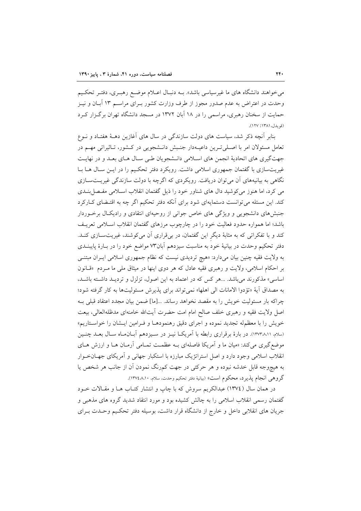می خواهند دانشگاه های ما غیرسیاسی باشد». بــه دنبـال اعــلام موضــع رهبـری، دفتـر تحکـیم وحدت در اعتراض به عدم صدور مجوز از طرف وزارت کشور بــرای مراســم ۱۳ آبــان و نيــز حمایت از سخنان رهبری، مراسمی را در ۱۸ آبان ۱۳۷۲ در مسجد دانشگاه تهران برگزار کرد (قويدل، ١٣٨١: ١٢٧).

بنابر آنچه ذکر شد، سیاست های دولت سازندگی در سال های آغازین دهـهٔ هفتـاد و نـوع تعامل مسئولان امر با اصلی تـرین داعیـهدار جنـبش دانـشجویی در کـشور، تـاثیراتی مهـم در جهت گیری های اتحادیهٔ انجمن های اسلامی دانـشجویان طـی سـال هـای بعـد و در نهایـت غیریتسازی با گفتمان جمهوری اسلامی داشت. رویکرد دفتر تحکیم را در ایــن ســال هــا بــا نگاهی به بیانیههای آن می توان دریافت. رویکردی که اگرچه با دولت سازندگی غیریتسازی می کرد، اما هنوز می کوشید دال های شناور خود را ذیل گفتمان انقلاب اسـلامی مفـصل بنــدی کند. این مسئله می توانست دستمایهای شود برای آنکه دفتر تحکیم اگر چه به اقتـضای کــارکرد جنبشهای دانشجویی و ویژگی های خاص جوانی از روحیهای انتقادی و رادیکال برخوردار باشد؛ اما همواره حدود فعالیت خود را در چارچوب مرزهای گفتمان انقلاب اسلامی تعریـف کند و با تفکراتی که به مثابهٔ دیگر این گفتمان، در بیقراری آن میکوشند، غیریتسازی کنـد. دفتر تحکیم وحدت در بیانیهٔ خود به مناسبت سیزدهم آبان۷۳ مواضع خود را در بـارهٔ پایبنــدی به ولایت فقیه چنین بیان میدارد: «هیچ تردیدی نیست که نظام جمهوری اسلامی ایـران مبتنـّـی بر احکام اسلامی، ولایت و رهبری فقیه عادل که هر دوی اینها در میثاق مل<sub>ی</sub> ما مـردم «قـانون اساسی» مذکورند می باشد. …هر کس که در اعتماد به این اصول، تزلزل و تردیـد داشـته باشـد، به مصداق آية «تؤدوا الامانات الى اهلها» نمي تواند براي يذيرش مسئوليتها به كار گرفته شود؛ چراکه بار مسئولیت خویش را به مقصد نخواهد رساند. ...[ما] ضمن بیان مجدد اعتقاد قبلی بـه اصل ولایت فقیه و رهبری خلف صالح امام امت حضرت أیت\لله خامنهای مدظلهالعالی، بیعت خويش را با معظمله تجديد نموده و اجراي دقيق رهنمودهـا و فـرامين ايـشان را خواسـتاريم» (سلام، ١٢٧٣٨،١١). در بارهٔ برقراري رابطه با آمريكـا نيــز در ســيزدهـم آبــان٥مـاه سـال بعــد چنــين موضع گیری می کند: «میان ما و آمریکا فاصلهای بـه عظمـت تمـامی آرمـان هـا و ارزش هـای انقلاب اسلامی وجود دارد و اصل استراتژیک مبارزه با استکبار جهانی و آمریکای جهـانخـوار به هیچوجه قابل خدشه نبوده و هر حرکتی در جهت کمرنگ نمودن آن از جانب هر شخص یا گروهي انجام يذيرد، محكوم است» (بيانيهٔ دفتر تحكيم وحدت، سلام، ١٠،٨٤٧٨١٠).

در همان سال (١٣٧٤) عبدالكريم سروش كه با چاپ و انتشار كتـاب هـا و مقـالات خــود گفتمان رسمی انقلاب اسلامی را به چالش کشیده بود و مورد انتقاد شدید گروه های مذهبی و جريان هاي انقلابي داخل و خارج از دانشگاه قرار داشت، بوسيله دفتر تحكيم وحـدت بـراي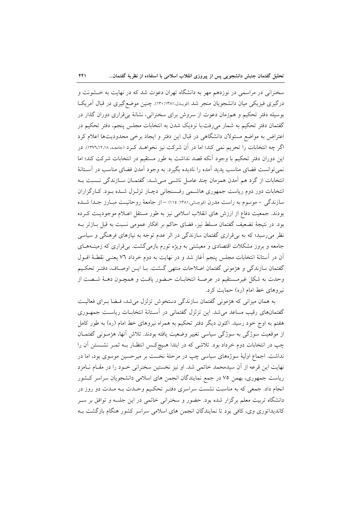سخنرانی در مراسمی در نوزدهم مهر به دانشگاه تهران دعوت شد که در نهایت به خــشونت و درگیری فیزیکی میان دانشجویان منجر شد (قویـدل،۱۳۸۱:۱۳۸). چنین موضعگیری در قبال آمریکـا بوسیله دفتر تحکیم و همزمان دعوت از سروش برای سخنرانی، نشانهٔ بیقراری دوران گذار در گفتمان دفتر تحکیم به شمار میرفت.با نزدیک شدن به انتخابات مجلس پنجم، دفتر تحکیم در اعتراض به مواضع مسئولان دانشگاهی در قبال این دفتر و ایجاد برخی محدودیتها اعلام کرد اگر چه انتخابات را تحریم نمی کند؛ اما در آن شرکت نیز نخواهـد کـرد (جامعـه ١٣٧٦،١٢،١٨). در این دوران دفتر تحکیم با وجود آنکه قصد نداشت به طور مستقیم در انتخابات شرکت کند؛ اما نمی توانست فضای مناسب پدید آمده را نادیده بگیرد. به وجود آمدن فضای مناسب در آسـتانهٔ انتخابات از گرد هم آمدن همزمان چند عامـل ناشـی مـیشـد: گفتمـان سـازندگی نـسبت بـه انتخابات دور دوم ریاست جمهوری هاشمی رفسنجانی دچـار تزلـزل شـده بـود. كـارگزاران سازندگی – موسوم به راست مدرن (قوچانی،۱۳۸۱: ۱۱۵) – از جامعهٔ روحانیت مبـارز جـدا شـده بودند. جمعیت دفاع از ارزش های انقلاب اسلامی نیز به طور مستقل اعـلام موجودیـت کـرده بود. در نتیجهٔ تضعیف گفتمان مسلط نیز، فضای حاکم بر افکار عمومی نسبت به قبل بـازتر بـه نظر میررسید؛ که به بی قراری گفتمان سازندگی در اثر عدم توجه به نیازهای فرهنگی و سیاسی جامعه و بروز مشکلات اقتصادی و معیشتی به ویژه تورم بازمی گشت. بی قراری که زمینـههـای آن در آستانهٔ انتخابات مجلس پنجم آغاز شد و در نهایت به دوم خرداد ۷٦ یعنـی نقطـهٔ افـول گفتمان سازندگی و هژمونی گفتمان اصلاحات منتهی گشت. بـا ايــن اوصـاف، دفتـر تحكـيم وحدت به شکل غیرمستقیم در عرصهٔ انتخابـات حـضور یافـت و همچــون دهــهٔ شــصت از نیروهای خط امام (ره) حمایت کرد.

به همان میزانی که هژمونی گفتمان سازندگی دستخوش تزلزل میشد، فـضا بـرای فعالیـت گفتمانهای رقیب مساعد می شد. این تزلزل گفتمانی در آسـتانهٔ انتخابـات ریاسـت جمهـوری هفتم به اوج خود رسید. اکنون دیگر دفتر تحکیم به همراه نیروهای خط امام (ره) به طور کامل از موقعیت سوژگی به سوژگی سیاسی تغییر وضعیت یافته بودند. تلاش آنها، هژمـونی گفتمـان چپ در انتخابات دوم خرداد بود. تلاشی که در ابتدا هـیچکـس انتظـار بـه ثمـر نشـستن آن را نداشت. اجماع اولیهٔ سوژههای سیاسی چپ در مرحلهٔ نخست بر میرحسین موسوی بود، اما در نهایت این قرعه از آن سیدمحمد خاتمی شد. او نیز نخستین سخنرانی خـود را در مقـام نـامزد ریاست جمهوری، بهمن ۷۵ در جمع نمایندگان انجمن های اسلامی دانشجویان سراسر کشور انجام داد. جمعی که به مناسبت نشست سراسری دفتـر تحکـیم وحـدت بـه مـدت دو روز در دانشگاه تربیت معلم برگزار شده بود. حضور و سخنرانی خاتمی در این جلسه و توافق بر سـر کاندیداتوری وی، کافی بود تا نمایندگان انجمن های اسلامی سراسر کشور هنگام بازگشت بـه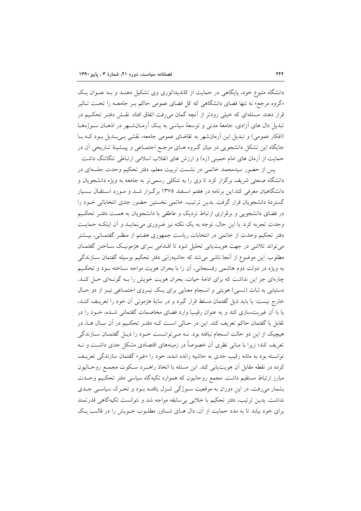دانشگاه متبوع خود، پایگاهی در حمایت از کاندیداتوری وی تشکیل دهنـد و بـه عنـوان یـک «گروه مرجع» نه تنها فضای دانشگاهی که کل فضای عمومی حاکم بـر جامعـه را تحـت تــاثیر قرار دهند. مسئلهای که خیلی زودتر از آنچه گمان میرفت اتفاق افتاد. نقش دفتـر تحکـیم در تبدیل دال های آزادی، جامعهٔ مدنی و توسعهٔ سیاسی به یک آرمـانشـهر در اذهـان سـوژههـا (افکار عمومی) و تبدیل این آرمانشهر به تقاضای عمومی جامعه، نقشی بـی بـدیل بـود کـه بـا جایگاه این تشکل دانشجویی در میان گـروه هـای مرجـع اجتمـاعی و پیـشینهٔ تـاریخی آن در حمایت از آرمان های امام خمینی (ره) و ارزش های انقلاب اسلامی ارتباطی تنگاتنگ داشت.

پس از حضور سیدمحمد خاتمی در نشست تربیت معلم، دفتر تحکیم وحدت جلسهای در دانشگاه صنعتی شریف برگزار کرد تا وی را به شکلی رسمیتر به جامعه به ویژه دانشجویان و دانشگاهیان معرفی کند.این برنامه در هفتم اسـفند ۱۳۷۵ برگـزار شـد و مـورد اسـتقبال بـسیار گستردهٔ دانشجویان قرار گرفت. بدین ترتیب، خاتمی نخستین حضور جدی انتخاباتی خـود را در فضای دانشجویی و برقراری ارتباط نزدیک و عاطفی با دانشجویان به همت دفتـر تحکـیم وحدت تجربه کرد. با این حال، توجه به یک نکته نیز ضروری می نمایـد و آن اینکـه حمایـت دفتر تحکیم وحدت از خاتمی در انتخابات ریاست جمهوری هفـتم از منظـر گفتمـانی، بیــشتر می تواند تلاشی در جهت هویت یابی تحلیل شود تا اقلدامی بـرای هژمونیـک سـاختن گفتمـان مطلوب. این موضوع از آنجا ناشی می شد که حاشیهرانی دفتر تحکیم بوسیله گفتمان سـازندگی به ویژه در دولت دوم هاشمی رفسنجانی، آن را با بحران هویت مواجه سـاخته بـود و تحکـیم چارهای جز این نداشت که برای ادامهٔ حیات، بحران هویت خویش را بـه گونـهای حـل کنـد. دستیابی به ثبات (نسبی) هویتی و انسجام معنایی برای یـک نیـروی اجتمـاعی نیـز از دو حـال خارج نیست: یا باید ذیل گفتمان مسلط قرار گیرد و در سایهٔ هژمونی آن خود را تعریـف کنـد، یا با آن غیریتسازی کند و به عنوان رقیبْ وارد فضای مخاصمات گفتمانی شـده، خـود را در تقابل با گفتمان حاکم تعریف کند. این در حـالی اسـت کــه دفتـر تحکـیم در آن سـال هــا، در هیچیک از این دو حالت انسجام نیافته بود. نــه مــیتوانـست خــود را ذیــل گفتمــان ســازندگی تعریف کند؛ زیرا با مبانی نظری آن خصوصاً در زمینههای اقتصادی مشکل جدی داشت و نــه توانسته بود به مثابه رقیب جدی به حاشیه رانده شده، خود را «غیر» گفتمان سازندگی تعریـف كرده در نقطه مقابل آن هويتLيابي كند. اين مسئله با اتخاذ راهبـرد سـكوت مجمـع روحـانيون مبارز ارتباط مستقیم داشت. مجمع روحانیون که همواره تکیهگاه سیاسی دفتر تحکـیم وحـدت بشمار میرفت، در این دوران به موقعیت سـوژگی تنـزل یافتـه بـود و تحـرک سیاسـی جـدی .<br>نداشت. بدین ترتیب، دفتر تحکیم با خلایی بیسابقه مواجه شد و نتوانست تکیهگاهی قدرتمند برای خود بیابد تا به مدد حمایت از آن، دال هـای شـناور مطلـوب خـویش را در قالـب یـک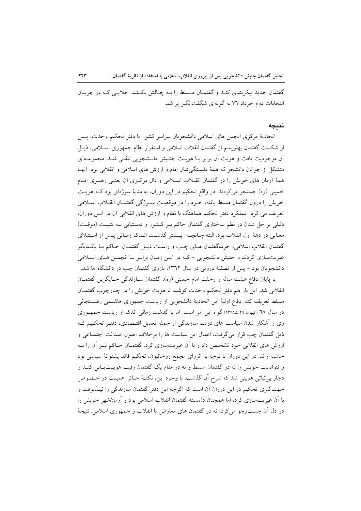گفتمان جدید پیکربندی کنـد و گفتمـان مـسلط را بـه چـالش بکـشد. خلایـی کـه در جریـان انتخابات دوم خرداد ۷٦ به گونهای شگفتانگیز پر شد.

#### نتىحە

اتحاديهٔ مركزي انجمن هاي اسلامي دانشجويان سراسر كشور يا دفتر تحكيم وحدت، پـس از شکست گفتمان پهلویسم از گفتمان انقلاب اسلامی و استقرار نظام جمهوری اسـلامی، ذیـل آن موجوديت يافت و هويت أن برابر بـا هويـت جنـبش دانـشجويي تلقـي شـد. مجموعـهاي متشکل از جوانان دانشجو که همهٔ دلبستگی شان امام و ارزش های اسلامی و انقلابی بود. آنها همهٔ آرمان های خویش را در گفتمان انقـلاب اسـلامی و دال مرکـزی آن یعنـی رهبـری امـام خمینی (ره) جستجو میکردند. در واقع تحکیم در این دوران، به مثابهٔ سوژهای بود کـه هویـت خويش را درون گفتمان مسلط يافته، خــود را در موقعيــت ســوژگي گفتمــان انقــلاب اســلامي تعریف می کرد. عملکرد دفتر تحکیم هماهنگ با نظام و ارزش های انقلابی آن در ایــن دوران، دلیلی بر حل شدن در نظم ساختاری گفتمان حاکم بـر کـشور و دسـتیابی بـه تثبیـت (موقـت) معنایی در دههٔ اول انقلاب بود. البته چنانچـه پیــشتر گذشــت انــدک زمــانی پــس از اســتیلای گفتمان انقلاب اسلامی، خردهگفتمان هـای چـب و راسـت ذیـل گفتمـان حـاکم بـا یکــدیگر غیریتسازی کردند و جنبش دانشجویی – کـه در ایــن زمــان برابـر بــا انجمــن هــای اســلامی دانشجویان بود – پس از تصفیهٔ درونی در سال ۱۳۹۲، بازوی گفتمان چپ در دانشگاه ها شد.

با پایان دفاع هشت ساله و رحلت امام خمینی (ره)، گفتمان سـازندگی جـایگزین گفتمـان انقلابی شد. این بار هم دفتر تحکیم وحدت کوشید تا هویت خویش را در چـارچوب گفتمـان مسلط تعریف کند. دفاع اولیهٔ این اتحادیهٔ دانشجویی از ریاست جمهوری هاشمی رفسنجانی در سال ٦٨ (كيهان. ١٣٦٨،٤،٢١) گواه اين امر است. اما با گذشت زماني اندک از رياست جمهوري وی و آشکار شدن سیاست های دولت سازندگی از جمله تعدیل اقتـصادی، دفتـر تحکـیم کـه ذیل گفتمان چپ قرار میگرفت، اعمال این سیاست ها را برخلاف اصول عـدالت اجتمـاعی و ارزش های انقلابی خود تشخیص داد و با آن غیریتسازی کرد. گفتمـان حـاکم نیـز آن را بـه حاشیه راند. در این دوران با توجه به انزوای مجمع روحانیون، تحکیم فاقد پشتوانهٔ سیاسی بود و نتوانست خویش را نه در گفتمان مسلط و نه در مقام یک گفتمان رقیب هویـتیــابی کنــد و دچار بی ثباتی هویتی شد که شرح آن گذشت. با وجود این، نکتـهٔ حـائز اهمیـت در خـصوص جهت گیری تحکیم در این دوران آن است که اگرچه این دفتر گفتمان سازندگی را نیــذیرفت و با آن غیریتسازی کرد، اما همچنان دل بستهٔ گفتمان انقلاب اسلامی بود و آرمانشهر خویش را در دل اَن جستوجو می کرد، نه در گفتمان های معارض با انقلاب و جمهوری اسلامی. نتیجهٔ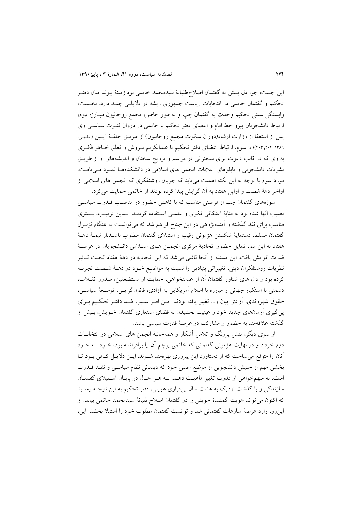این جستوجو، دل بستن به گفتمان اصلاح طلبانهٔ سیدمحمد خاتمی بود.زمینهٔ پیوند میان دفتـر تحکیم و گفتمان خاتمی در انتخابات ریاست جمهوری ریشه در دلایلـی چنـد دارد. نخـست، وابستگی سنتی تحکیم وحدت به گفتمان چپ و به طور خاص، مجمع روحانیون مبـارز؛ دوم، ارتباط دانشجویان پیرو خط امام و اعضای دفتر تحکیم با خاتمی در دروان فتـرت سیاسـی وی پس از استعفا از وزارت ارشاد(دوران سکوت مجمع روحانیون) از طریــق حلقــهٔ آیــین (حلجـی، ١٣٨٦: ٢٠٢و٢٠٢)؛ و سوم، ارتباط اعضاى دفتر تحكيم با عبدالكريم سروش و تعلق خـاطر فكـرى به وی که در قالب دعوت برای سخنرانی در مراسم و ترویج سخنان و اندیشههای او از طریـق نشریات دانشجویی و تابلوهای اعلانات انجمن های اسلامی در دانشکدههـا نمـود مـی یافـت. مورد سوم با توجه به این نکته اهمیت میbیابد که جریان روشنفکری که انجمن های اسلامی از اواخر دههٔ شصت و اوایل هفتاد به آن گرایش پیدا کرده بودند از خاتمی حمایت می کرد.

سوژههای گفتمان چپ از فرصتی مناسب که با کاهش حضور در مناصب قــدرت سیاســی نصیب أنها شده بود به مثابهٔ اعتکافی فکری و علمـی اسـتفاده کردنـد. بـدین ترتیـب، بــستری مناسب برای نقد گذشته و آیندهپژوهی در این جناح فراهم شد که می توانست به هنگام تزلـزل گفتمان مسلط، دستمايهٔ شكستن هژمونى رقيب و استيلاى گفتمان مطلوب باشـد.از نيمـهٔ دهـهٔ هفتاد به این سو، تمایل حضور اتحادیهٔ مرکزی انجمـن هـای اسـلامی دانـشجویان در عرصـهٔ قدرت افزایش یافت. این مسئله از آنجا ناشی می شد که این اتحادیه در دههٔ هفتاد تحـت تـاثیر نظریات روشنفکران دینی، تغییراتی بنیادین را نسبت به مواضـع خـود در دهــهٔ شــصت تجربــه کرده بود و دال های شناور گفتمان آن از عدالتخواهی، حمایت از مستضعفین، صدور انقــلاب، دشمنی با استکبار جهانی و مبارزه با اسلام آمریکایی به آزادی، قانونگرایـی، توسـعهٔ سیاسـی، حقوق شهروندی، آزادی بیان و... تغییر یافته بودند. ایـن امـر سـبب شـد دفتـر تحکـیم بـرای یی گیری آرمانهای جدید خود و عینیت بخشیدن به فضای استعاری گفتمان خـویش، بـیش از گذشته علاقهمند به حضور و مشارکت در عرصهٔ قدرت سیاسی باشد.

از سوی دیگر، نقش پررنگ و تلاش آشکار و همهجانبهٔ انجمن های اسلامی در انتخابــات دوم خرداد و در نهایت هژمونی گفتمانی که خاتمی پرچم آن را برافراشته بود، خــود بــه خــود آنان را متوقع می ساخت که از دستاورد این پیروزی بهرهمند شـوند. ایــن دلایــل کــافی بــود تــا بخشی مهم از جنبش دانشجویی از موضع اصلی خود که دیدبانی نظام سیاسبی و نقلد قلدرت است، به سهمخواهي از قدرت تغيير ماهيت دهـد. بــه هـر حـال در پايـان اسـتيلاي گفتمـان سازندگ<sub>ی</sub> و با گذشت نزدیک به هشت سال بیقراری هویتی، دفتر تحکیم به این نتیجــه رسـید كه اكنون مي تواند هويت گمشدهٔ خويش را در گفتمان اصلاحطلبانهٔ سيدمحمد خاتمي بيابد. از این رو، وارد عرصهٔ منازعات گفتمانی شد و توانست گفتمان مطلوب خود را استیلا بخشد. این،